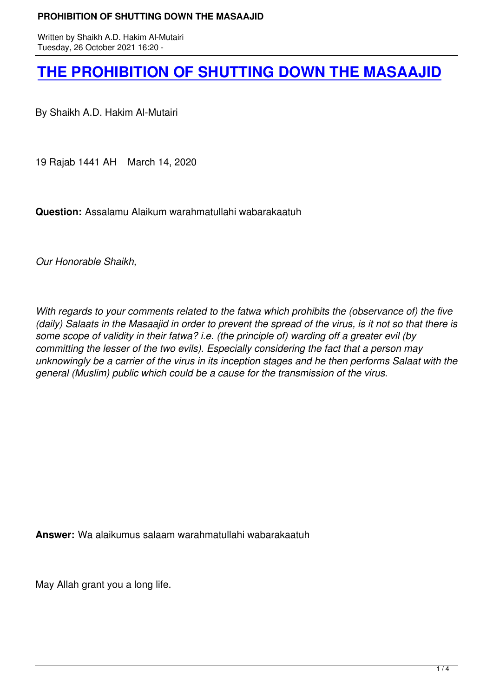Written by Shaikh A.D. Hakim A.D. Hakim A.D. Hakim A.D. Hakim A.D. Hakim A.D. Hakim A.D. Hakim A.D. Hakim A.D.

## **THE PROHIBITION OF SHUTTING DOWN THE MASAAJID**

[By Shaikh A.D. Hakim Al-Mutairi](books/PROHIBITION OF SHUTTING DOWN THE MASAAJID _booklet.pdf)

19 Rajab 1441 AH March 14, 2020

**Question:** Assalamu Alaikum warahmatullahi wabarakaatuh

*Our Honorable Shaikh,*

*With regards to your comments related to the fatwa which prohibits the (observance of) the five (daily) Salaats in the Masaajid in order to prevent the spread of the virus, is it not so that there is some scope of validity in their fatwa? i.e. (the principle of) warding off a greater evil (by committing the lesser of the two evils). Especially considering the fact that a person may unknowingly be a carrier of the virus in its inception stages and he then performs Salaat with the general (Muslim) public which could be a cause for the transmission of the virus.*

**Answer:** Wa alaikumus salaam warahmatullahi wabarakaatuh

May Allah grant you a long life.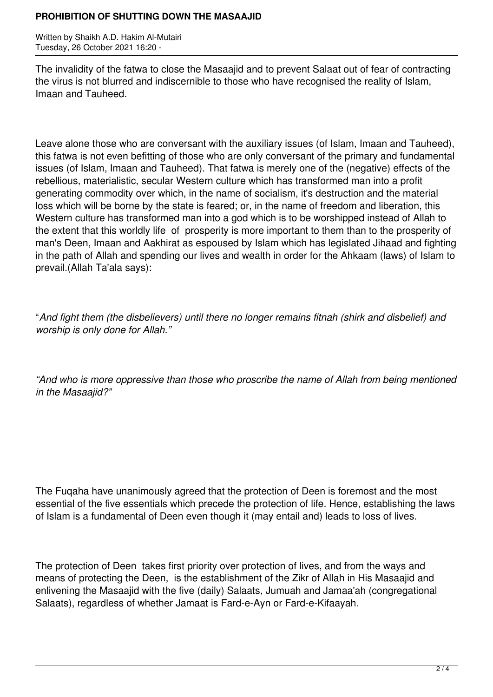## **PROHIBITION OF SHUTTING DOWN THE MASAAJID**

Written by Shaikh A.D. Hakim Al-Mutairi Tuesday, 26 October 2021 16:20 -

The invalidity of the fatwa to close the Masaajid and to prevent Salaat out of fear of contracting the virus is not blurred and indiscernible to those who have recognised the reality of Islam, Imaan and Tauheed.

Leave alone those who are conversant with the auxiliary issues (of Islam, Imaan and Tauheed), this fatwa is not even befitting of those who are only conversant of the primary and fundamental issues (of Islam, Imaan and Tauheed). That fatwa is merely one of the (negative) effects of the rebellious, materialistic, secular Western culture which has transformed man into a profit generating commodity over which, in the name of socialism, it's destruction and the material loss which will be borne by the state is feared; or, in the name of freedom and liberation, this Western culture has transformed man into a god which is to be worshipped instead of Allah to the extent that this worldly life of prosperity is more important to them than to the prosperity of man's Deen, Imaan and Aakhirat as espoused by Islam which has legislated Jihaad and fighting in the path of Allah and spending our lives and wealth in order for the Ahkaam (laws) of Islam to prevail.(Allah Ta'ala says):

"*And fight them (the disbelievers) until there no longer remains fitnah (shirk and disbelief) and worship is only done for Allah."*

*"And who is more oppressive than those who proscribe the name of Allah from being mentioned in the Masaajid?"*

The Fuqaha have unanimously agreed that the protection of Deen is foremost and the most essential of the five essentials which precede the protection of life. Hence, establishing the laws of Islam is a fundamental of Deen even though it (may entail and) leads to loss of lives.

The protection of Deen takes first priority over protection of lives, and from the ways and means of protecting the Deen, is the establishment of the Zikr of Allah in His Masaajid and enlivening the Masaajid with the five (daily) Salaats, Jumuah and Jamaa'ah (congregational Salaats), regardless of whether Jamaat is Fard-e-Ayn or Fard-e-Kifaayah.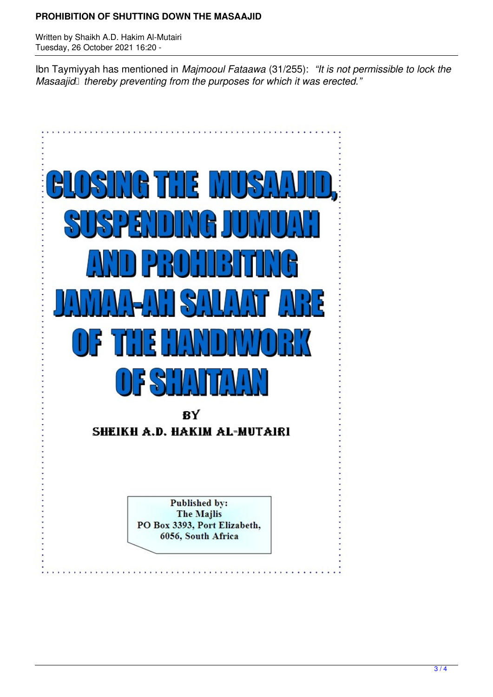## **PROHIBITION OF SHUTTING DOWN THE MASAAJID**

Written by Shaikh A.D. Hakim Al-Mutairi Tuesday, 26 October 2021 16:20 -

Ibn Taymiyyah has mentioned in *Majmooul Fataawa* (31/255): *"It is not permissible to lock the Masaajid thereby preventing from the purposes for which it was erected."*